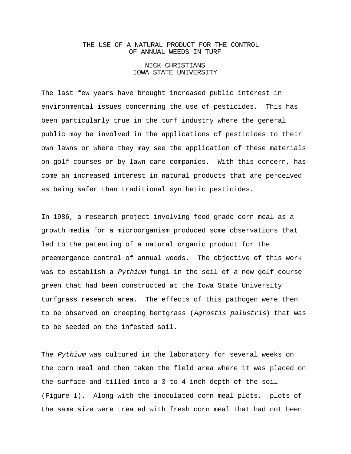## THE USE OF A NATURAL PRODUCT FOR THE CONTROL OF ANNUAL WEEDS IN TURF

## NICK CHRISTIANS IOWA STATE UNIVERSITY

The last few years have brought increased public interest in environmental issues concerning the use of pesticides. This has been particularly true in the turf industry where the general public may be involved in the applications of pesticides to their own lawns or where they may see the application of these materials on golf courses or by lawn care companies. With this concern, has come an increased interest in natural products that are perceived as being safer than traditional synthetic pesticides.

In 1986, a research project involving food-grade corn meal as a growth media for a microorganism produced some observations that led to the patenting of a natural organic product for the preemergence control of annual weeds. The objective of this work was to establish a Pythium fungi in the soil of a new golf course green that had been constructed at the Iowa State University turfgrass research area. The effects of this pathogen were then to be observed on creeping bentgrass (Agrostis palustris) that was to be seeded on the infested soil.

The Pythium was cultured in the laboratory for several weeks on the corn meal and then taken the field area where it was placed on the surface and tilled into a 3 to 4 inch depth of the soil (Figure 1). Along with the inoculated corn meal plots, plots of the same size were treated with fresh corn meal that had not been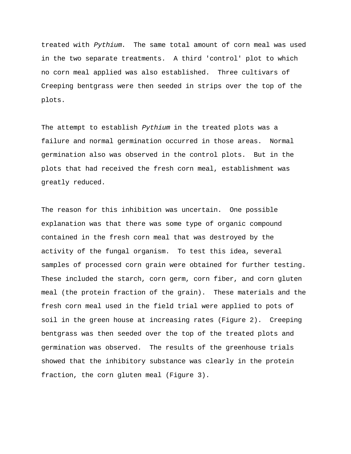treated with Pythium. The same total amount of corn meal was used in the two separate treatments. A third 'control' plot to which no corn meal applied was also established. Three cultivars of Creeping bentgrass were then seeded in strips over the top of the plots.

The attempt to establish Pythium in the treated plots was a failure and normal germination occurred in those areas. Normal germination also was observed in the control plots. But in the plots that had received the fresh corn meal, establishment was greatly reduced.

The reason for this inhibition was uncertain. One possible explanation was that there was some type of organic compound contained in the fresh corn meal that was destroyed by the activity of the fungal organism. To test this idea, several samples of processed corn grain were obtained for further testing. These included the starch, corn germ, corn fiber, and corn gluten meal (the protein fraction of the grain). These materials and the fresh corn meal used in the field trial were applied to pots of soil in the green house at increasing rates (Figure 2). Creeping bentgrass was then seeded over the top of the treated plots and germination was observed. The results of the greenhouse trials showed that the inhibitory substance was clearly in the protein fraction, the corn gluten meal (Figure 3).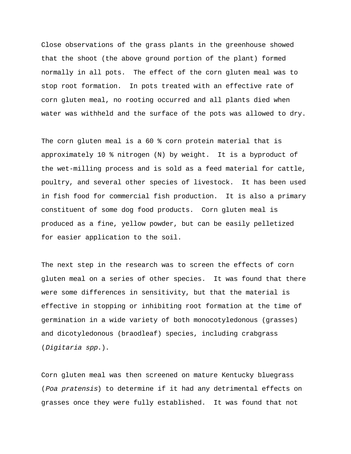Close observations of the grass plants in the greenhouse showed that the shoot (the above ground portion of the plant) formed normally in all pots. The effect of the corn gluten meal was to stop root formation. In pots treated with an effective rate of corn gluten meal, no rooting occurred and all plants died when water was withheld and the surface of the pots was allowed to dry.

The corn gluten meal is a 60 % corn protein material that is approximately 10 % nitrogen (N) by weight. It is a byproduct of the wet-milling process and is sold as a feed material for cattle, poultry, and several other species of livestock. It has been used in fish food for commercial fish production. It is also a primary constituent of some dog food products. Corn gluten meal is produced as a fine, yellow powder, but can be easily pelletized for easier application to the soil.

The next step in the research was to screen the effects of corn gluten meal on a series of other species. It was found that there were some differences in sensitivity, but that the material is effective in stopping or inhibiting root formation at the time of germination in a wide variety of both monocotyledonous (grasses) and dicotyledonous (braodleaf) species, including crabgrass (Digitaria spp.).

Corn gluten meal was then screened on mature Kentucky bluegrass (Poa pratensis) to determine if it had any detrimental effects on grasses once they were fully established. It was found that not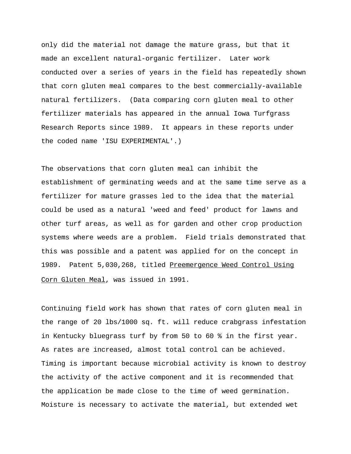only did the material not damage the mature grass, but that it made an excellent natural-organic fertilizer. Later work conducted over a series of years in the field has repeatedly shown that corn gluten meal compares to the best commercially-available natural fertilizers. (Data comparing corn gluten meal to other fertilizer materials has appeared in the annual Iowa Turfgrass Research Reports since 1989. It appears in these reports under the coded name 'ISU EXPERIMENTAL'.)

The observations that corn gluten meal can inhibit the establishment of germinating weeds and at the same time serve as a fertilizer for mature grasses led to the idea that the material could be used as a natural 'weed and feed' product for lawns and other turf areas, as well as for garden and other crop production systems where weeds are a problem. Field trials demonstrated that this was possible and a patent was applied for on the concept in 1989. Patent 5,030,268, titled Preemergence Weed Control Using Corn Gluten Meal, was issued in 1991.

Continuing field work has shown that rates of corn gluten meal in the range of 20 lbs/1000 sq. ft. will reduce crabgrass infestation in Kentucky bluegrass turf by from 50 to 60 % in the first year. As rates are increased, almost total control can be achieved. Timing is important because microbial activity is known to destroy the activity of the active component and it is recommended that the application be made close to the time of weed germination. Moisture is necessary to activate the material, but extended wet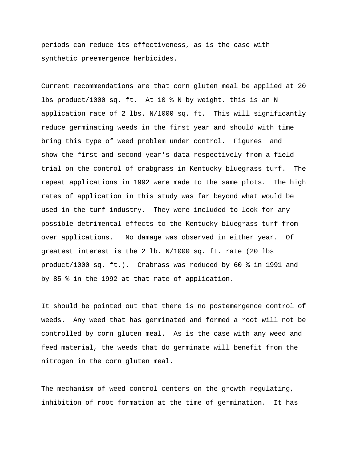periods can reduce its effectiveness, as is the case with synthetic preemergence herbicides.

Current recommendations are that corn gluten meal be applied at 20 lbs product/1000 sq. ft. At 10 % N by weight, this is an N application rate of 2 lbs. N/1000 sq. ft. This will significantly reduce germinating weeds in the first year and should with time bring this type of weed problem under control. Figures and show the first and second year's data respectively from a field trial on the control of crabgrass in Kentucky bluegrass turf. The repeat applications in 1992 were made to the same plots. The high rates of application in this study was far beyond what would be used in the turf industry. They were included to look for any possible detrimental effects to the Kentucky bluegrass turf from over applications. No damage was observed in either year. Of greatest interest is the 2 lb. N/1000 sq. ft. rate (20 lbs product/1000 sq. ft.). Crabrass was reduced by 60 % in 1991 and by 85 % in the 1992 at that rate of application.

It should be pointed out that there is no postemergence control of weeds. Any weed that has germinated and formed a root will not be controlled by corn gluten meal. As is the case with any weed and feed material, the weeds that do germinate will benefit from the nitrogen in the corn gluten meal.

The mechanism of weed control centers on the growth regulating, inhibition of root formation at the time of germination. It has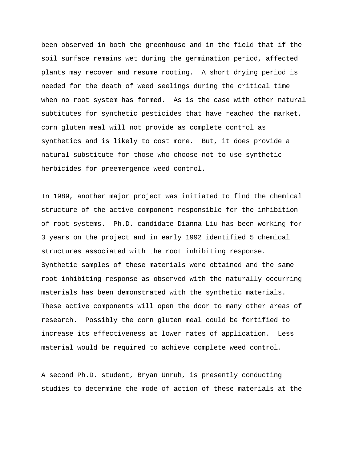been observed in both the greenhouse and in the field that if the soil surface remains wet during the germination period, affected plants may recover and resume rooting. A short drying period is needed for the death of weed seelings during the critical time when no root system has formed. As is the case with other natural subtitutes for synthetic pesticides that have reached the market, corn gluten meal will not provide as complete control as synthetics and is likely to cost more. But, it does provide a natural substitute for those who choose not to use synthetic herbicides for preemergence weed control.

In 1989, another major project was initiated to find the chemical structure of the active component responsible for the inhibition of root systems. Ph.D. candidate Dianna Liu has been working for 3 years on the project and in early 1992 identified 5 chemical structures associated with the root inhibiting response. Synthetic samples of these materials were obtained and the same root inhibiting response as observed with the naturally occurring materials has been demonstrated with the synthetic materials. These active components will open the door to many other areas of research. Possibly the corn gluten meal could be fortified to increase its effectiveness at lower rates of application. Less material would be required to achieve complete weed control.

A second Ph.D. student, Bryan Unruh, is presently conducting studies to determine the mode of action of these materials at the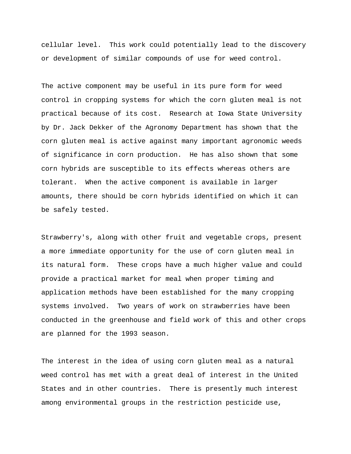cellular level. This work could potentially lead to the discovery or development of similar compounds of use for weed control.

The active component may be useful in its pure form for weed control in cropping systems for which the corn gluten meal is not practical because of its cost. Research at Iowa State University by Dr. Jack Dekker of the Agronomy Department has shown that the corn gluten meal is active against many important agronomic weeds of significance in corn production. He has also shown that some corn hybrids are susceptible to its effects whereas others are tolerant. When the active component is available in larger amounts, there should be corn hybrids identified on which it can be safely tested.

Strawberry's, along with other fruit and vegetable crops, present a more immediate opportunity for the use of corn gluten meal in its natural form. These crops have a much higher value and could provide a practical market for meal when proper timing and application methods have been established for the many cropping systems involved. Two years of work on strawberries have been conducted in the greenhouse and field work of this and other crops are planned for the 1993 season.

The interest in the idea of using corn gluten meal as a natural weed control has met with a great deal of interest in the United States and in other countries. There is presently much interest among environmental groups in the restriction pesticide use,